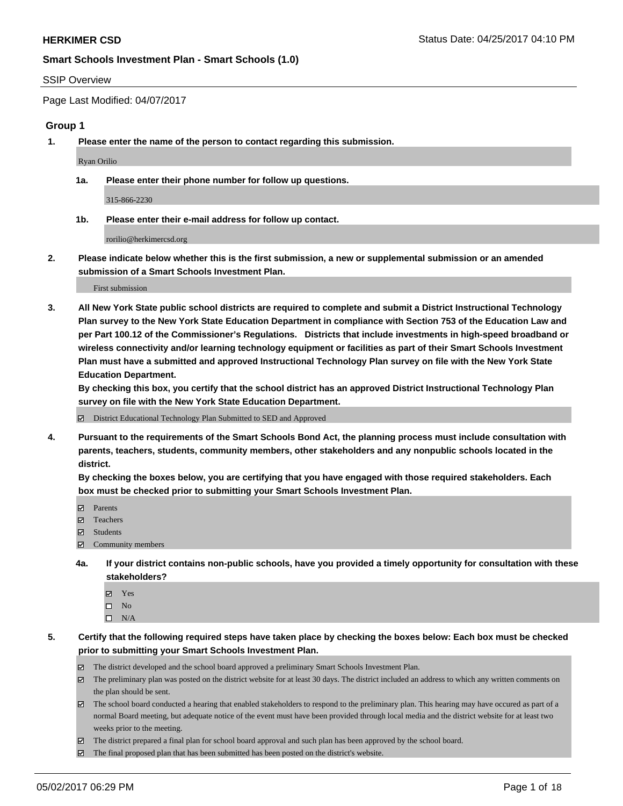#### SSIP Overview

Page Last Modified: 04/07/2017

#### **Group 1**

**1. Please enter the name of the person to contact regarding this submission.**

Ryan Orilio

**1a. Please enter their phone number for follow up questions.**

315-866-2230

**1b. Please enter their e-mail address for follow up contact.**

rorilio@herkimercsd.org

**2. Please indicate below whether this is the first submission, a new or supplemental submission or an amended submission of a Smart Schools Investment Plan.**

First submission

**3. All New York State public school districts are required to complete and submit a District Instructional Technology Plan survey to the New York State Education Department in compliance with Section 753 of the Education Law and per Part 100.12 of the Commissioner's Regulations. Districts that include investments in high-speed broadband or wireless connectivity and/or learning technology equipment or facilities as part of their Smart Schools Investment Plan must have a submitted and approved Instructional Technology Plan survey on file with the New York State Education Department.** 

**By checking this box, you certify that the school district has an approved District Instructional Technology Plan survey on file with the New York State Education Department.**

District Educational Technology Plan Submitted to SED and Approved

**4. Pursuant to the requirements of the Smart Schools Bond Act, the planning process must include consultation with parents, teachers, students, community members, other stakeholders and any nonpublic schools located in the district.** 

**By checking the boxes below, you are certifying that you have engaged with those required stakeholders. Each box must be checked prior to submitting your Smart Schools Investment Plan.**

- **マ** Parents
- □ Teachers
- Students
- $\Xi$  Community members
- **4a. If your district contains non-public schools, have you provided a timely opportunity for consultation with these stakeholders?**
	- Yes
	- $\hfill \square$  No
	- $\square$  N/A
- **5. Certify that the following required steps have taken place by checking the boxes below: Each box must be checked prior to submitting your Smart Schools Investment Plan.**
	- The district developed and the school board approved a preliminary Smart Schools Investment Plan.
	- $\boxtimes$  The preliminary plan was posted on the district website for at least 30 days. The district included an address to which any written comments on the plan should be sent.
	- $\boxtimes$  The school board conducted a hearing that enabled stakeholders to respond to the preliminary plan. This hearing may have occured as part of a normal Board meeting, but adequate notice of the event must have been provided through local media and the district website for at least two weeks prior to the meeting.
	- The district prepared a final plan for school board approval and such plan has been approved by the school board.
	- $\boxtimes$  The final proposed plan that has been submitted has been posted on the district's website.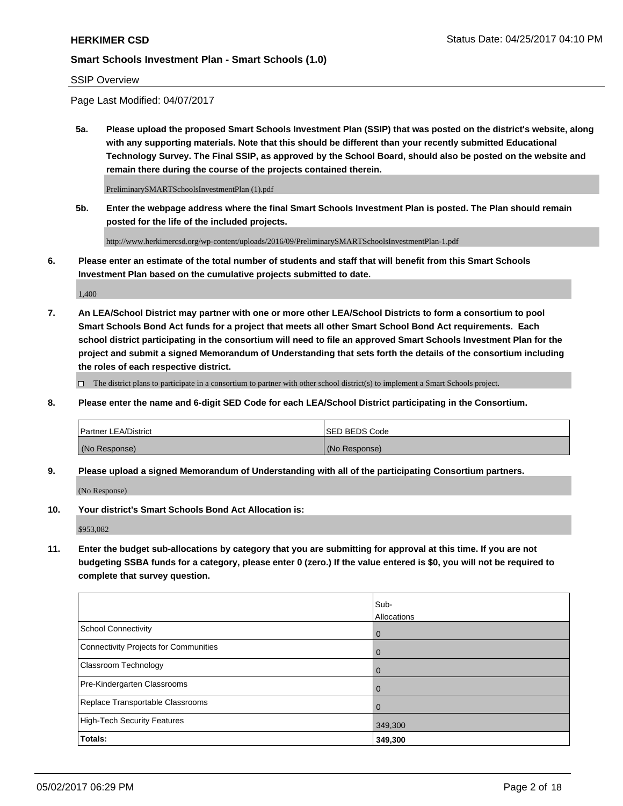SSIP Overview

Page Last Modified: 04/07/2017

**5a. Please upload the proposed Smart Schools Investment Plan (SSIP) that was posted on the district's website, along with any supporting materials. Note that this should be different than your recently submitted Educational Technology Survey. The Final SSIP, as approved by the School Board, should also be posted on the website and remain there during the course of the projects contained therein.**

PreliminarySMARTSchoolsInvestmentPlan (1).pdf

**5b. Enter the webpage address where the final Smart Schools Investment Plan is posted. The Plan should remain posted for the life of the included projects.**

http://www.herkimercsd.org/wp-content/uploads/2016/09/PreliminarySMARTSchoolsInvestmentPlan-1.pdf

**6. Please enter an estimate of the total number of students and staff that will benefit from this Smart Schools Investment Plan based on the cumulative projects submitted to date.**

1,400

**7. An LEA/School District may partner with one or more other LEA/School Districts to form a consortium to pool Smart Schools Bond Act funds for a project that meets all other Smart School Bond Act requirements. Each school district participating in the consortium will need to file an approved Smart Schools Investment Plan for the project and submit a signed Memorandum of Understanding that sets forth the details of the consortium including the roles of each respective district.**

 $\Box$  The district plans to participate in a consortium to partner with other school district(s) to implement a Smart Schools project.

**8. Please enter the name and 6-digit SED Code for each LEA/School District participating in the Consortium.**

| <b>Partner LEA/District</b> | <b>ISED BEDS Code</b> |
|-----------------------------|-----------------------|
| (No Response)               | (No Response)         |

**9. Please upload a signed Memorandum of Understanding with all of the participating Consortium partners.**

(No Response)

**10. Your district's Smart Schools Bond Act Allocation is:**

\$953,082

**11. Enter the budget sub-allocations by category that you are submitting for approval at this time. If you are not budgeting SSBA funds for a category, please enter 0 (zero.) If the value entered is \$0, you will not be required to complete that survey question.**

|                                              | Sub-<br>Allocations |
|----------------------------------------------|---------------------|
| <b>School Connectivity</b>                   | $\mathbf 0$         |
| <b>Connectivity Projects for Communities</b> | 0                   |
| Classroom Technology                         | $\overline{0}$      |
| Pre-Kindergarten Classrooms                  | 0                   |
| Replace Transportable Classrooms             | $\Omega$            |
| <b>High-Tech Security Features</b>           | 349,300             |
| Totals:                                      | 349,300             |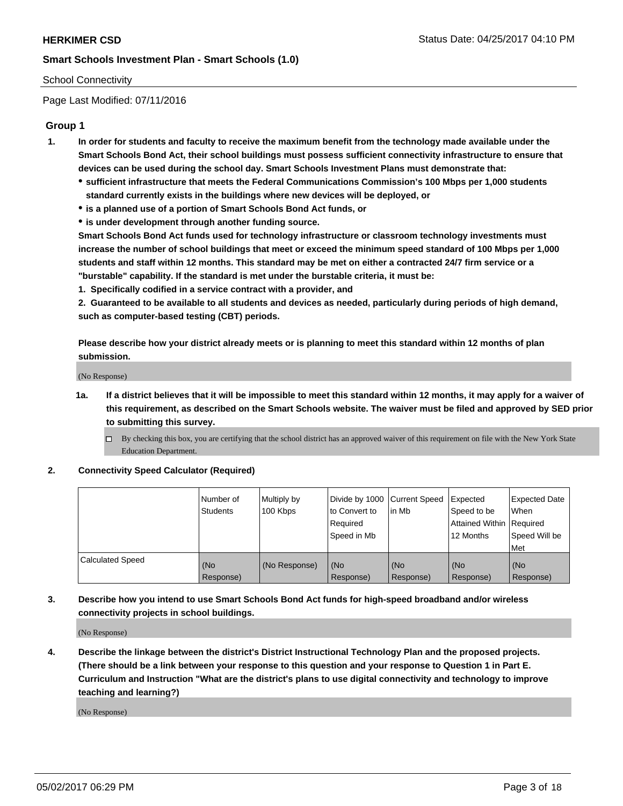#### School Connectivity

Page Last Modified: 07/11/2016

### **Group 1**

- **1. In order for students and faculty to receive the maximum benefit from the technology made available under the Smart Schools Bond Act, their school buildings must possess sufficient connectivity infrastructure to ensure that devices can be used during the school day. Smart Schools Investment Plans must demonstrate that:**
	- **sufficient infrastructure that meets the Federal Communications Commission's 100 Mbps per 1,000 students standard currently exists in the buildings where new devices will be deployed, or**
	- **is a planned use of a portion of Smart Schools Bond Act funds, or**
	- **is under development through another funding source.**

**Smart Schools Bond Act funds used for technology infrastructure or classroom technology investments must increase the number of school buildings that meet or exceed the minimum speed standard of 100 Mbps per 1,000 students and staff within 12 months. This standard may be met on either a contracted 24/7 firm service or a "burstable" capability. If the standard is met under the burstable criteria, it must be:**

**1. Specifically codified in a service contract with a provider, and**

**2. Guaranteed to be available to all students and devices as needed, particularly during periods of high demand, such as computer-based testing (CBT) periods.**

**Please describe how your district already meets or is planning to meet this standard within 12 months of plan submission.**

(No Response)

- **1a. If a district believes that it will be impossible to meet this standard within 12 months, it may apply for a waiver of this requirement, as described on the Smart Schools website. The waiver must be filed and approved by SED prior to submitting this survey.**
	- By checking this box, you are certifying that the school district has an approved waiver of this requirement on file with the New York State Education Department.

#### **2. Connectivity Speed Calculator (Required)**

|                         | l Number of<br><b>Students</b> | Multiply by<br>100 Kbps | Divide by 1000   Current Speed<br>to Convert to<br>Required<br>l Speed in Mb | in Mb            | Expected<br>Speed to be<br>Attained Within Required<br>12 Months | <b>Expected Date</b><br>When<br>Speed Will be<br><b>Met</b> |
|-------------------------|--------------------------------|-------------------------|------------------------------------------------------------------------------|------------------|------------------------------------------------------------------|-------------------------------------------------------------|
| <b>Calculated Speed</b> | (No<br>Response)               | (No Response)           | (No<br>Response)                                                             | (No<br>Response) | (No<br>Response)                                                 | l (No<br>Response)                                          |

# **3. Describe how you intend to use Smart Schools Bond Act funds for high-speed broadband and/or wireless connectivity projects in school buildings.**

(No Response)

**4. Describe the linkage between the district's District Instructional Technology Plan and the proposed projects. (There should be a link between your response to this question and your response to Question 1 in Part E. Curriculum and Instruction "What are the district's plans to use digital connectivity and technology to improve teaching and learning?)**

(No Response)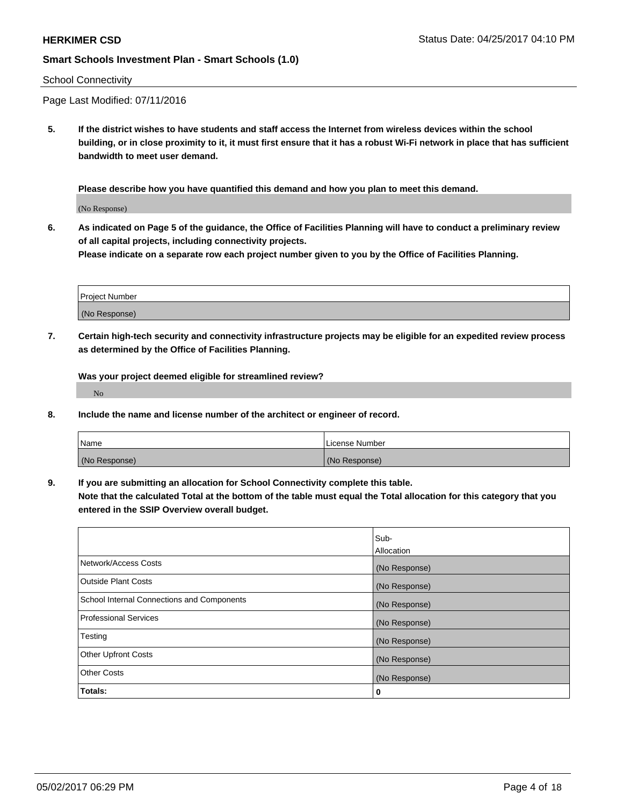# School Connectivity

Page Last Modified: 07/11/2016

**5. If the district wishes to have students and staff access the Internet from wireless devices within the school building, or in close proximity to it, it must first ensure that it has a robust Wi-Fi network in place that has sufficient bandwidth to meet user demand.**

**Please describe how you have quantified this demand and how you plan to meet this demand.**

(No Response)

**6. As indicated on Page 5 of the guidance, the Office of Facilities Planning will have to conduct a preliminary review of all capital projects, including connectivity projects.**

**Please indicate on a separate row each project number given to you by the Office of Facilities Planning.**

| Project Number |  |
|----------------|--|
|                |  |
| (No Response)  |  |

**7. Certain high-tech security and connectivity infrastructure projects may be eligible for an expedited review process as determined by the Office of Facilities Planning.**

**Was your project deemed eligible for streamlined review?**

No

**8. Include the name and license number of the architect or engineer of record.**

| Name          | License Number |
|---------------|----------------|
| (No Response) | (No Response)  |

**9. If you are submitting an allocation for School Connectivity complete this table.**

**Note that the calculated Total at the bottom of the table must equal the Total allocation for this category that you entered in the SSIP Overview overall budget.** 

|                                            | Sub-          |
|--------------------------------------------|---------------|
|                                            | Allocation    |
| Network/Access Costs                       | (No Response) |
| Outside Plant Costs                        | (No Response) |
| School Internal Connections and Components | (No Response) |
| <b>Professional Services</b>               | (No Response) |
| Testing                                    | (No Response) |
| <b>Other Upfront Costs</b>                 | (No Response) |
| <b>Other Costs</b>                         | (No Response) |
| Totals:                                    | 0             |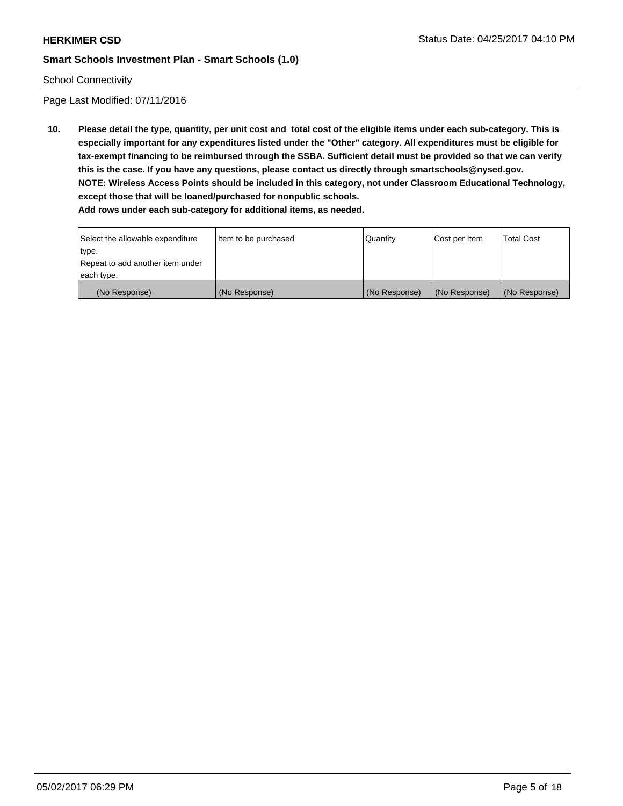# School Connectivity

Page Last Modified: 07/11/2016

**10. Please detail the type, quantity, per unit cost and total cost of the eligible items under each sub-category. This is especially important for any expenditures listed under the "Other" category. All expenditures must be eligible for tax-exempt financing to be reimbursed through the SSBA. Sufficient detail must be provided so that we can verify this is the case. If you have any questions, please contact us directly through smartschools@nysed.gov. NOTE: Wireless Access Points should be included in this category, not under Classroom Educational Technology, except those that will be loaned/purchased for nonpublic schools. Add rows under each sub-category for additional items, as needed.**

Select the allowable expenditure type. Repeat to add another item under each type. Item to be purchased  $\sqrt{$  Quantity  $\sqrt{}$  Cost per Item  $\sqrt{}$  Total Cost (No Response) (No Response) (No Response) (No Response) (No Response)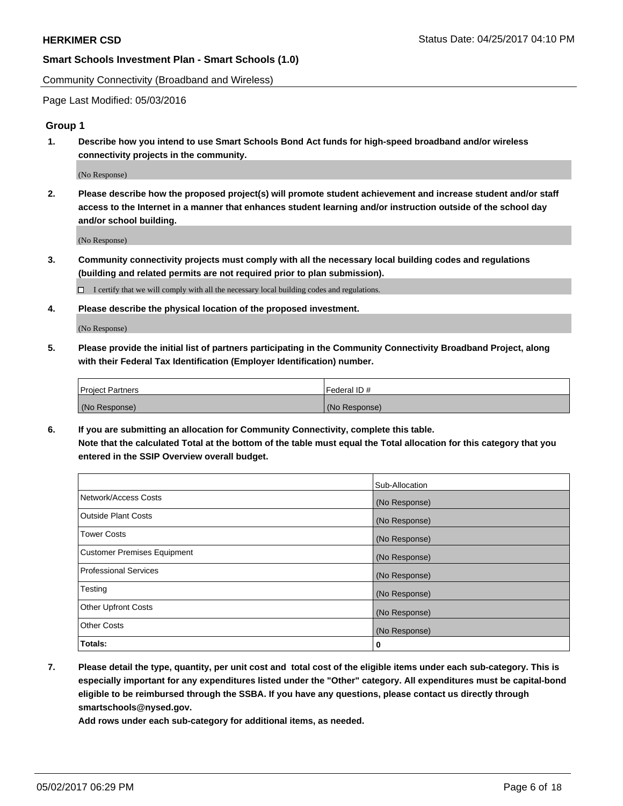Community Connectivity (Broadband and Wireless)

Page Last Modified: 05/03/2016

### **Group 1**

**1. Describe how you intend to use Smart Schools Bond Act funds for high-speed broadband and/or wireless connectivity projects in the community.**

(No Response)

**2. Please describe how the proposed project(s) will promote student achievement and increase student and/or staff access to the Internet in a manner that enhances student learning and/or instruction outside of the school day and/or school building.**

(No Response)

**3. Community connectivity projects must comply with all the necessary local building codes and regulations (building and related permits are not required prior to plan submission).**

 $\Box$  I certify that we will comply with all the necessary local building codes and regulations.

**4. Please describe the physical location of the proposed investment.**

(No Response)

**5. Please provide the initial list of partners participating in the Community Connectivity Broadband Project, along with their Federal Tax Identification (Employer Identification) number.**

| <b>Project Partners</b> | l Federal ID # |
|-------------------------|----------------|
| (No Response)           | (No Response)  |

**6. If you are submitting an allocation for Community Connectivity, complete this table. Note that the calculated Total at the bottom of the table must equal the Total allocation for this category that you entered in the SSIP Overview overall budget.**

|                                    | Sub-Allocation |
|------------------------------------|----------------|
| Network/Access Costs               | (No Response)  |
| Outside Plant Costs                | (No Response)  |
| <b>Tower Costs</b>                 | (No Response)  |
| <b>Customer Premises Equipment</b> | (No Response)  |
| <b>Professional Services</b>       | (No Response)  |
| Testing                            | (No Response)  |
| <b>Other Upfront Costs</b>         | (No Response)  |
| <b>Other Costs</b>                 | (No Response)  |
| Totals:                            | 0              |

**7. Please detail the type, quantity, per unit cost and total cost of the eligible items under each sub-category. This is especially important for any expenditures listed under the "Other" category. All expenditures must be capital-bond eligible to be reimbursed through the SSBA. If you have any questions, please contact us directly through smartschools@nysed.gov.**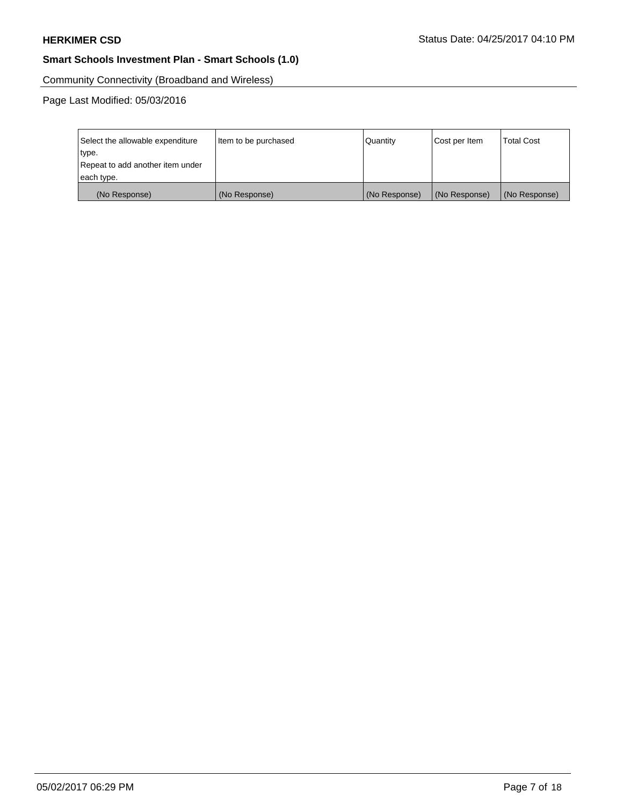Community Connectivity (Broadband and Wireless)

Page Last Modified: 05/03/2016

| Select the allowable expenditure | Item to be purchased | Quantity      | Cost per Item | <b>Total Cost</b> |
|----------------------------------|----------------------|---------------|---------------|-------------------|
| type.                            |                      |               |               |                   |
| Repeat to add another item under |                      |               |               |                   |
| each type.                       |                      |               |               |                   |
| (No Response)                    | (No Response)        | (No Response) | (No Response) | (No Response)     |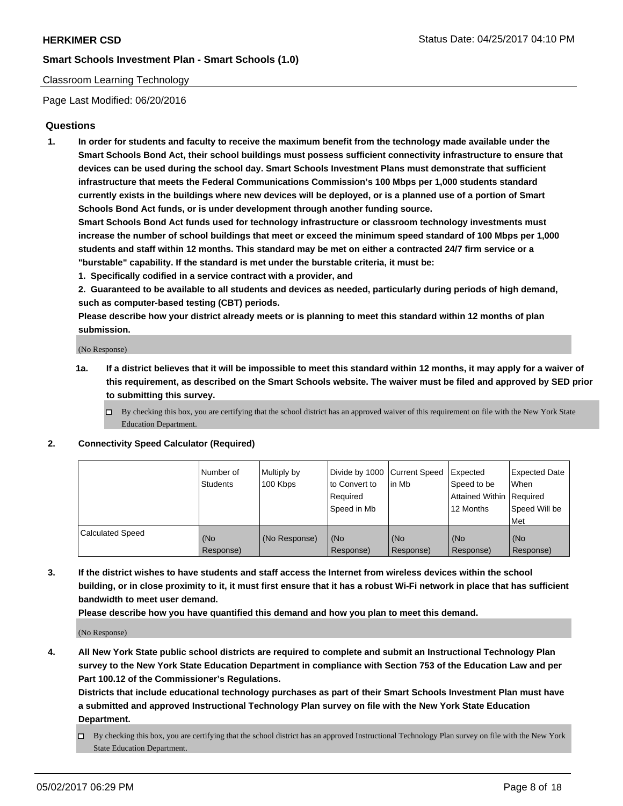#### Classroom Learning Technology

Page Last Modified: 06/20/2016

### **Questions**

**1. In order for students and faculty to receive the maximum benefit from the technology made available under the Smart Schools Bond Act, their school buildings must possess sufficient connectivity infrastructure to ensure that devices can be used during the school day. Smart Schools Investment Plans must demonstrate that sufficient infrastructure that meets the Federal Communications Commission's 100 Mbps per 1,000 students standard currently exists in the buildings where new devices will be deployed, or is a planned use of a portion of Smart Schools Bond Act funds, or is under development through another funding source.**

**Smart Schools Bond Act funds used for technology infrastructure or classroom technology investments must increase the number of school buildings that meet or exceed the minimum speed standard of 100 Mbps per 1,000 students and staff within 12 months. This standard may be met on either a contracted 24/7 firm service or a "burstable" capability. If the standard is met under the burstable criteria, it must be:**

- **1. Specifically codified in a service contract with a provider, and**
- **2. Guaranteed to be available to all students and devices as needed, particularly during periods of high demand, such as computer-based testing (CBT) periods.**

**Please describe how your district already meets or is planning to meet this standard within 12 months of plan submission.**

(No Response)

- **1a. If a district believes that it will be impossible to meet this standard within 12 months, it may apply for a waiver of this requirement, as described on the Smart Schools website. The waiver must be filed and approved by SED prior to submitting this survey.**
	- $\Box$  By checking this box, you are certifying that the school district has an approved waiver of this requirement on file with the New York State Education Department.

#### **2. Connectivity Speed Calculator (Required)**

|                         | l Number of<br>Students | Multiply by<br>100 Kbps | Divide by 1000   Current Speed<br>to Convert to<br>Required<br>Speed in Mb | lin Mb           | Expected<br>Speed to be<br>Attained Within Required<br>12 Months | <b>Expected Date</b><br>When<br>Speed Will be<br>Met |
|-------------------------|-------------------------|-------------------------|----------------------------------------------------------------------------|------------------|------------------------------------------------------------------|------------------------------------------------------|
| <b>Calculated Speed</b> | (No<br>Response)        | (No Response)           | (No<br>Response)                                                           | (No<br>Response) | (No<br>Response)                                                 | (No<br>Response)                                     |

**3. If the district wishes to have students and staff access the Internet from wireless devices within the school building, or in close proximity to it, it must first ensure that it has a robust Wi-Fi network in place that has sufficient bandwidth to meet user demand.**

**Please describe how you have quantified this demand and how you plan to meet this demand.**

(No Response)

**4. All New York State public school districts are required to complete and submit an Instructional Technology Plan survey to the New York State Education Department in compliance with Section 753 of the Education Law and per Part 100.12 of the Commissioner's Regulations.**

**Districts that include educational technology purchases as part of their Smart Schools Investment Plan must have a submitted and approved Instructional Technology Plan survey on file with the New York State Education Department.**

 $\Box$  By checking this box, you are certifying that the school district has an approved Instructional Technology Plan survey on file with the New York State Education Department.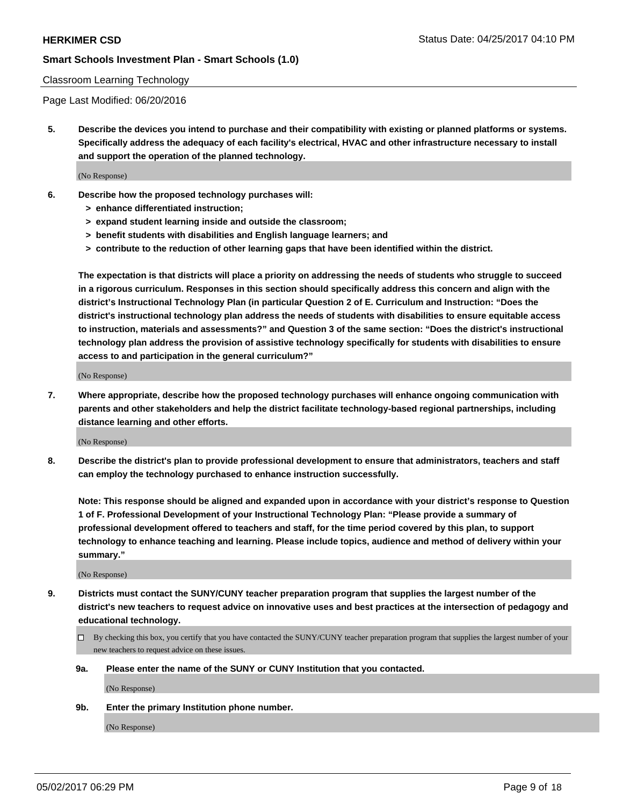#### Classroom Learning Technology

Page Last Modified: 06/20/2016

**5. Describe the devices you intend to purchase and their compatibility with existing or planned platforms or systems. Specifically address the adequacy of each facility's electrical, HVAC and other infrastructure necessary to install and support the operation of the planned technology.**

(No Response)

- **6. Describe how the proposed technology purchases will:**
	- **> enhance differentiated instruction;**
	- **> expand student learning inside and outside the classroom;**
	- **> benefit students with disabilities and English language learners; and**
	- **> contribute to the reduction of other learning gaps that have been identified within the district.**

**The expectation is that districts will place a priority on addressing the needs of students who struggle to succeed in a rigorous curriculum. Responses in this section should specifically address this concern and align with the district's Instructional Technology Plan (in particular Question 2 of E. Curriculum and Instruction: "Does the district's instructional technology plan address the needs of students with disabilities to ensure equitable access to instruction, materials and assessments?" and Question 3 of the same section: "Does the district's instructional technology plan address the provision of assistive technology specifically for students with disabilities to ensure access to and participation in the general curriculum?"**

(No Response)

**7. Where appropriate, describe how the proposed technology purchases will enhance ongoing communication with parents and other stakeholders and help the district facilitate technology-based regional partnerships, including distance learning and other efforts.**

(No Response)

**8. Describe the district's plan to provide professional development to ensure that administrators, teachers and staff can employ the technology purchased to enhance instruction successfully.**

**Note: This response should be aligned and expanded upon in accordance with your district's response to Question 1 of F. Professional Development of your Instructional Technology Plan: "Please provide a summary of professional development offered to teachers and staff, for the time period covered by this plan, to support technology to enhance teaching and learning. Please include topics, audience and method of delivery within your summary."**

(No Response)

- **9. Districts must contact the SUNY/CUNY teacher preparation program that supplies the largest number of the district's new teachers to request advice on innovative uses and best practices at the intersection of pedagogy and educational technology.**
	- By checking this box, you certify that you have contacted the SUNY/CUNY teacher preparation program that supplies the largest number of your new teachers to request advice on these issues.
	- **9a. Please enter the name of the SUNY or CUNY Institution that you contacted.**

(No Response)

**9b. Enter the primary Institution phone number.**

(No Response)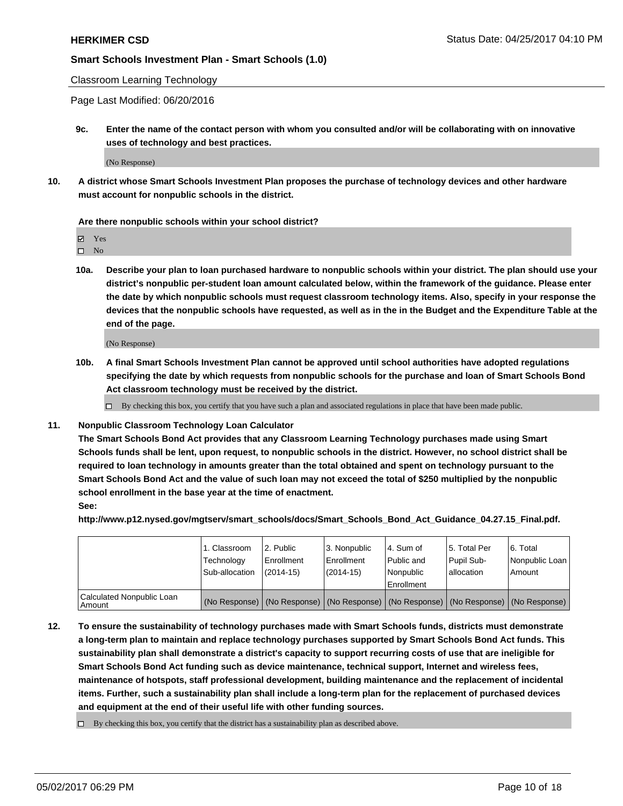Classroom Learning Technology

Page Last Modified: 06/20/2016

**9c. Enter the name of the contact person with whom you consulted and/or will be collaborating with on innovative uses of technology and best practices.**

(No Response)

**10. A district whose Smart Schools Investment Plan proposes the purchase of technology devices and other hardware must account for nonpublic schools in the district.**

**Are there nonpublic schools within your school district?**

Yes

 $\square$  No

**10a. Describe your plan to loan purchased hardware to nonpublic schools within your district. The plan should use your district's nonpublic per-student loan amount calculated below, within the framework of the guidance. Please enter the date by which nonpublic schools must request classroom technology items. Also, specify in your response the devices that the nonpublic schools have requested, as well as in the in the Budget and the Expenditure Table at the end of the page.**

(No Response)

**10b. A final Smart Schools Investment Plan cannot be approved until school authorities have adopted regulations specifying the date by which requests from nonpublic schools for the purchase and loan of Smart Schools Bond Act classroom technology must be received by the district.**

 $\Box$  By checking this box, you certify that you have such a plan and associated regulations in place that have been made public.

**11. Nonpublic Classroom Technology Loan Calculator**

**The Smart Schools Bond Act provides that any Classroom Learning Technology purchases made using Smart Schools funds shall be lent, upon request, to nonpublic schools in the district. However, no school district shall be required to loan technology in amounts greater than the total obtained and spent on technology pursuant to the Smart Schools Bond Act and the value of such loan may not exceed the total of \$250 multiplied by the nonpublic school enrollment in the base year at the time of enactment. See:**

**http://www.p12.nysed.gov/mgtserv/smart\_schools/docs/Smart\_Schools\_Bond\_Act\_Guidance\_04.27.15\_Final.pdf.**

|                                       | 1. Classroom<br>Technology<br>Sub-allocation | l 2. Public<br>l Enrollment<br>$(2014 - 15)$ | 3. Nonpublic<br>Enrollment<br>$(2014-15)$ | l 4. Sum of<br>l Public and<br>Nonpublic<br>Enrollment | 15. Total Per<br>Pupil Sub-<br>allocation | l 6. Total<br>Nonpublic Loan<br>l Amount                                                      |
|---------------------------------------|----------------------------------------------|----------------------------------------------|-------------------------------------------|--------------------------------------------------------|-------------------------------------------|-----------------------------------------------------------------------------------------------|
| Calculated Nonpublic Loan<br>l Amount |                                              |                                              |                                           |                                                        |                                           | (No Response)   (No Response)   (No Response)   (No Response)   (No Response)   (No Response) |

**12. To ensure the sustainability of technology purchases made with Smart Schools funds, districts must demonstrate a long-term plan to maintain and replace technology purchases supported by Smart Schools Bond Act funds. This sustainability plan shall demonstrate a district's capacity to support recurring costs of use that are ineligible for Smart Schools Bond Act funding such as device maintenance, technical support, Internet and wireless fees, maintenance of hotspots, staff professional development, building maintenance and the replacement of incidental items. Further, such a sustainability plan shall include a long-term plan for the replacement of purchased devices and equipment at the end of their useful life with other funding sources.**

 $\Box$  By checking this box, you certify that the district has a sustainability plan as described above.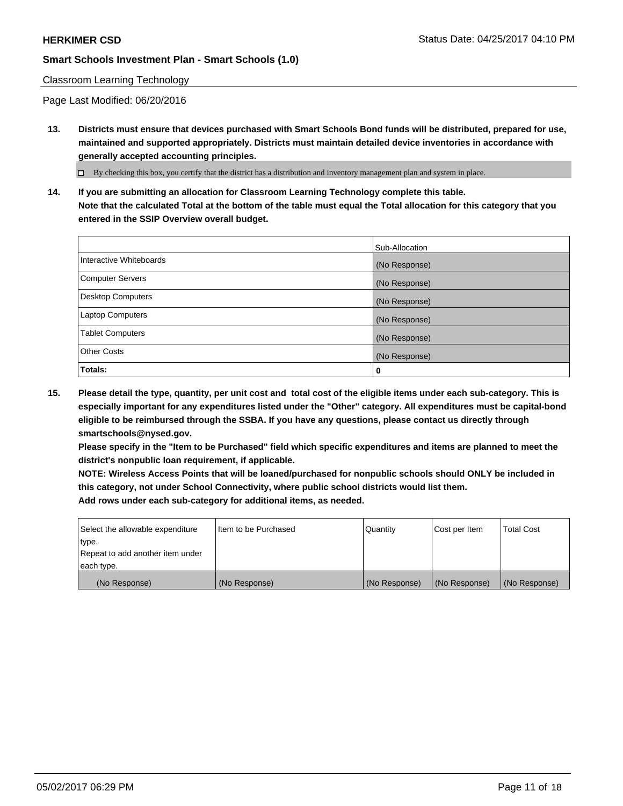#### Classroom Learning Technology

Page Last Modified: 06/20/2016

**13. Districts must ensure that devices purchased with Smart Schools Bond funds will be distributed, prepared for use, maintained and supported appropriately. Districts must maintain detailed device inventories in accordance with generally accepted accounting principles.**

By checking this box, you certify that the district has a distribution and inventory management plan and system in place.

**14. If you are submitting an allocation for Classroom Learning Technology complete this table. Note that the calculated Total at the bottom of the table must equal the Total allocation for this category that you entered in the SSIP Overview overall budget.**

|                          | Sub-Allocation |
|--------------------------|----------------|
| Interactive Whiteboards  | (No Response)  |
| <b>Computer Servers</b>  | (No Response)  |
| <b>Desktop Computers</b> | (No Response)  |
| <b>Laptop Computers</b>  | (No Response)  |
| <b>Tablet Computers</b>  | (No Response)  |
| <b>Other Costs</b>       | (No Response)  |
| Totals:                  | 0              |

**15. Please detail the type, quantity, per unit cost and total cost of the eligible items under each sub-category. This is especially important for any expenditures listed under the "Other" category. All expenditures must be capital-bond eligible to be reimbursed through the SSBA. If you have any questions, please contact us directly through smartschools@nysed.gov.**

**Please specify in the "Item to be Purchased" field which specific expenditures and items are planned to meet the district's nonpublic loan requirement, if applicable.**

**NOTE: Wireless Access Points that will be loaned/purchased for nonpublic schools should ONLY be included in this category, not under School Connectivity, where public school districts would list them. Add rows under each sub-category for additional items, as needed.**

| Select the allowable expenditure | I Item to be Purchased | Quantity      | Cost per Item | <b>Total Cost</b> |
|----------------------------------|------------------------|---------------|---------------|-------------------|
| type.                            |                        |               |               |                   |
| Repeat to add another item under |                        |               |               |                   |
| each type.                       |                        |               |               |                   |
| (No Response)                    | (No Response)          | (No Response) | (No Response) | (No Response)     |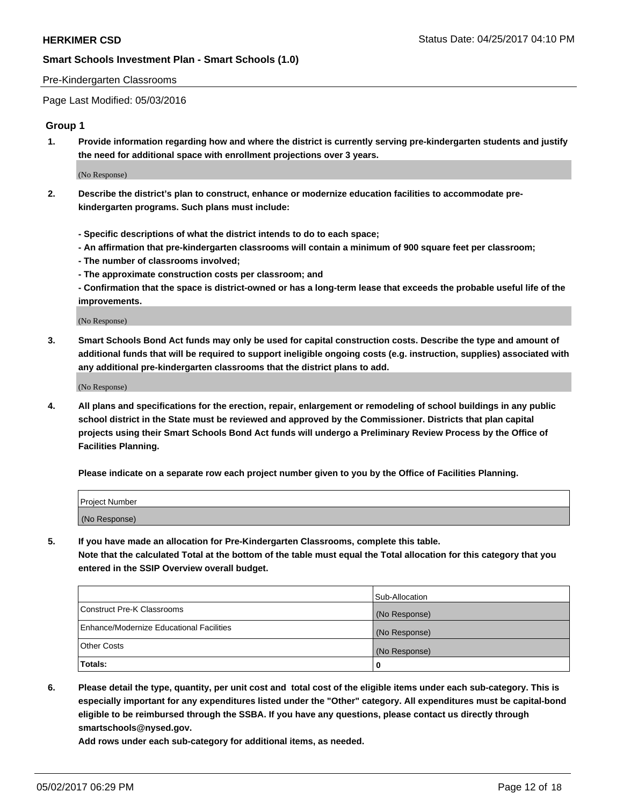#### Pre-Kindergarten Classrooms

Page Last Modified: 05/03/2016

### **Group 1**

**1. Provide information regarding how and where the district is currently serving pre-kindergarten students and justify the need for additional space with enrollment projections over 3 years.**

(No Response)

- **2. Describe the district's plan to construct, enhance or modernize education facilities to accommodate prekindergarten programs. Such plans must include:**
	- **Specific descriptions of what the district intends to do to each space;**
	- **An affirmation that pre-kindergarten classrooms will contain a minimum of 900 square feet per classroom;**
	- **The number of classrooms involved;**
	- **The approximate construction costs per classroom; and**
	- **Confirmation that the space is district-owned or has a long-term lease that exceeds the probable useful life of the improvements.**

(No Response)

**3. Smart Schools Bond Act funds may only be used for capital construction costs. Describe the type and amount of additional funds that will be required to support ineligible ongoing costs (e.g. instruction, supplies) associated with any additional pre-kindergarten classrooms that the district plans to add.**

(No Response)

**4. All plans and specifications for the erection, repair, enlargement or remodeling of school buildings in any public school district in the State must be reviewed and approved by the Commissioner. Districts that plan capital projects using their Smart Schools Bond Act funds will undergo a Preliminary Review Process by the Office of Facilities Planning.**

**Please indicate on a separate row each project number given to you by the Office of Facilities Planning.**

| Project Number |  |
|----------------|--|
| (No Response)  |  |

**5. If you have made an allocation for Pre-Kindergarten Classrooms, complete this table. Note that the calculated Total at the bottom of the table must equal the Total allocation for this category that you entered in the SSIP Overview overall budget.**

| Totals:                                  | 0              |
|------------------------------------------|----------------|
| Other Costs                              | (No Response)  |
| Enhance/Modernize Educational Facilities | (No Response)  |
| Construct Pre-K Classrooms               | (No Response)  |
|                                          | Sub-Allocation |

**6. Please detail the type, quantity, per unit cost and total cost of the eligible items under each sub-category. This is especially important for any expenditures listed under the "Other" category. All expenditures must be capital-bond eligible to be reimbursed through the SSBA. If you have any questions, please contact us directly through smartschools@nysed.gov.**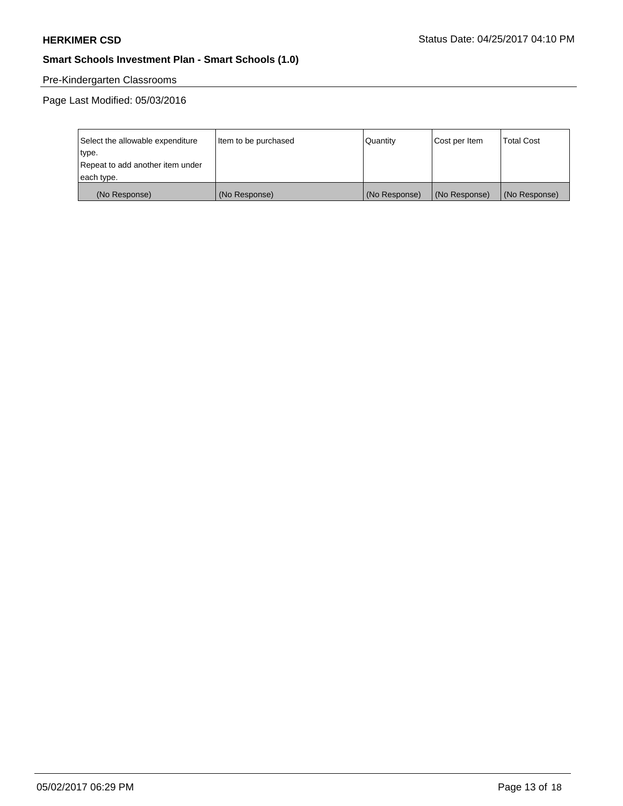# Pre-Kindergarten Classrooms

Page Last Modified: 05/03/2016

| Select the allowable expenditure | Item to be purchased | Quantity      | Cost per Item | <b>Total Cost</b> |
|----------------------------------|----------------------|---------------|---------------|-------------------|
| type.                            |                      |               |               |                   |
| Repeat to add another item under |                      |               |               |                   |
| each type.                       |                      |               |               |                   |
| (No Response)                    | (No Response)        | (No Response) | (No Response) | (No Response)     |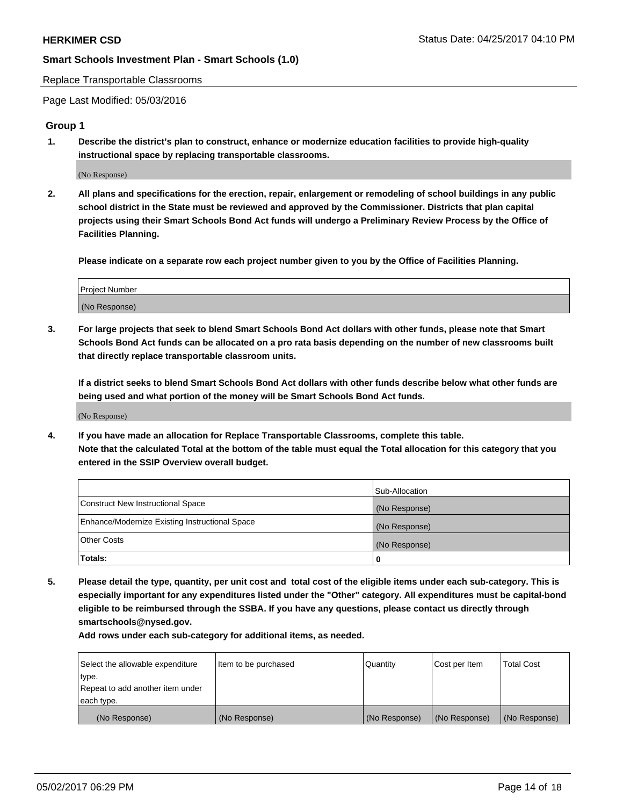Replace Transportable Classrooms

Page Last Modified: 05/03/2016

### **Group 1**

**1. Describe the district's plan to construct, enhance or modernize education facilities to provide high-quality instructional space by replacing transportable classrooms.**

(No Response)

**2. All plans and specifications for the erection, repair, enlargement or remodeling of school buildings in any public school district in the State must be reviewed and approved by the Commissioner. Districts that plan capital projects using their Smart Schools Bond Act funds will undergo a Preliminary Review Process by the Office of Facilities Planning.**

**Please indicate on a separate row each project number given to you by the Office of Facilities Planning.**

| Project Number |  |
|----------------|--|
| (No Response)  |  |

**3. For large projects that seek to blend Smart Schools Bond Act dollars with other funds, please note that Smart Schools Bond Act funds can be allocated on a pro rata basis depending on the number of new classrooms built that directly replace transportable classroom units.**

**If a district seeks to blend Smart Schools Bond Act dollars with other funds describe below what other funds are being used and what portion of the money will be Smart Schools Bond Act funds.**

(No Response)

**4. If you have made an allocation for Replace Transportable Classrooms, complete this table. Note that the calculated Total at the bottom of the table must equal the Total allocation for this category that you entered in the SSIP Overview overall budget.**

|                                                | Sub-Allocation |
|------------------------------------------------|----------------|
| Construct New Instructional Space              | (No Response)  |
| Enhance/Modernize Existing Instructional Space | (No Response)  |
| Other Costs                                    | (No Response)  |
| Totals:                                        | 0              |

**5. Please detail the type, quantity, per unit cost and total cost of the eligible items under each sub-category. This is especially important for any expenditures listed under the "Other" category. All expenditures must be capital-bond eligible to be reimbursed through the SSBA. If you have any questions, please contact us directly through smartschools@nysed.gov.**

| Select the allowable expenditure | Item to be purchased | Quantity      | Cost per Item | <b>Total Cost</b> |
|----------------------------------|----------------------|---------------|---------------|-------------------|
| type.                            |                      |               |               |                   |
| Repeat to add another item under |                      |               |               |                   |
| each type.                       |                      |               |               |                   |
| (No Response)                    | (No Response)        | (No Response) | (No Response) | (No Response)     |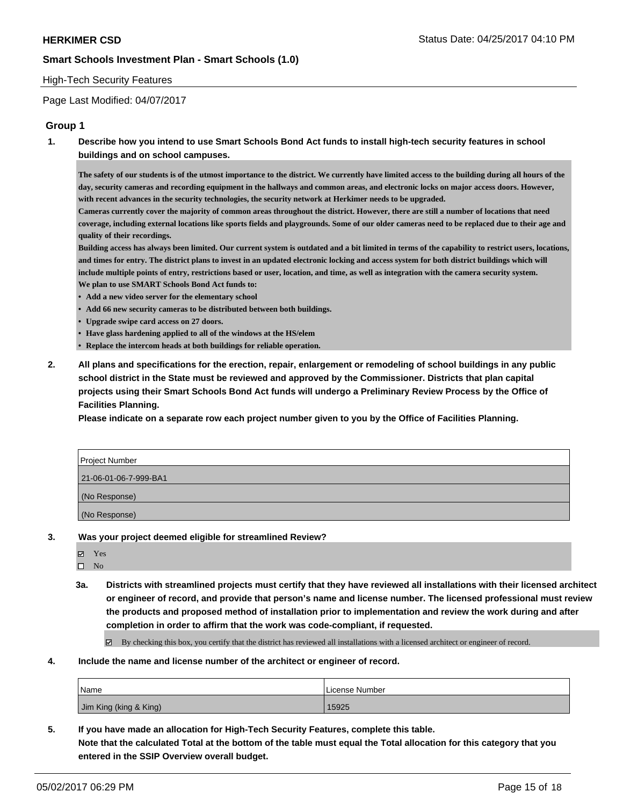#### High-Tech Security Features

Page Last Modified: 04/07/2017

# **Group 1**

**1. Describe how you intend to use Smart Schools Bond Act funds to install high-tech security features in school buildings and on school campuses.**

**The safety of our students is of the utmost importance to the district. We currently have limited access to the building during all hours of the day, security cameras and recording equipment in the hallways and common areas, and electronic locks on major access doors. However, with recent advances in the security technologies, the security network at Herkimer needs to be upgraded.**

**Cameras currently cover the majority of common areas throughout the district. However, there are still a number of locations that need coverage, including external locations like sports fields and playgrounds. Some of our older cameras need to be replaced due to their age and quality of their recordings.**

**Building access has always been limited. Our current system is outdated and a bit limited in terms of the capability to restrict users, locations, and times for entry. The district plans to invest in an updated electronic locking and access system for both district buildings which will include multiple points of entry, restrictions based or user, location, and time, as well as integration with the camera security system. We plan to use SMART Schools Bond Act funds to:** 

- **• Add a new video server for the elementary school**
- **• Add 66 new security cameras to be distributed between both buildings.**
- **• Upgrade swipe card access on 27 doors.**
- **• Have glass hardening applied to all of the windows at the HS/elem**
- **• Replace the intercom heads at both buildings for reliable operation.**
- **2. All plans and specifications for the erection, repair, enlargement or remodeling of school buildings in any public school district in the State must be reviewed and approved by the Commissioner. Districts that plan capital projects using their Smart Schools Bond Act funds will undergo a Preliminary Review Process by the Office of Facilities Planning.**

**Please indicate on a separate row each project number given to you by the Office of Facilities Planning.**

| <b>Project Number</b> |
|-----------------------|
| 21-06-01-06-7-999-BA1 |
| (No Response)         |
| (No Response)         |

**3. Was your project deemed eligible for streamlined Review?**

- $\square$  No
- **3a. Districts with streamlined projects must certify that they have reviewed all installations with their licensed architect or engineer of record, and provide that person's name and license number. The licensed professional must review the products and proposed method of installation prior to implementation and review the work during and after completion in order to affirm that the work was code-compliant, if requested.**
	- By checking this box, you certify that the district has reviewed all installations with a licensed architect or engineer of record.
- **4. Include the name and license number of the architect or engineer of record.**

| <b>Name</b>            | License Number |
|------------------------|----------------|
| Jim King (king & King) | 15925          |

**5. If you have made an allocation for High-Tech Security Features, complete this table. Note that the calculated Total at the bottom of the table must equal the Total allocation for this category that you entered in the SSIP Overview overall budget.**

Yes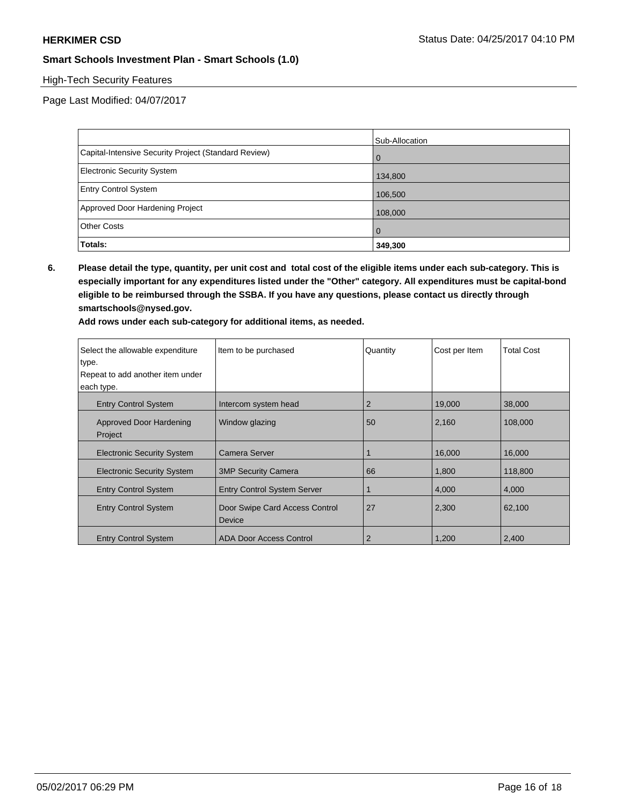# High-Tech Security Features

Page Last Modified: 04/07/2017

|                                                      | Sub-Allocation |
|------------------------------------------------------|----------------|
| Capital-Intensive Security Project (Standard Review) | l 0            |
| Electronic Security System                           | 134,800        |
| <b>Entry Control System</b>                          | 106,500        |
| Approved Door Hardening Project                      | 108,000        |
| <b>Other Costs</b>                                   | $\overline{0}$ |
| Totals:                                              | 349,300        |

**6. Please detail the type, quantity, per unit cost and total cost of the eligible items under each sub-category. This is especially important for any expenditures listed under the "Other" category. All expenditures must be capital-bond eligible to be reimbursed through the SSBA. If you have any questions, please contact us directly through smartschools@nysed.gov.**

| Select the allowable expenditure  | Item to be purchased               | Quantity | Cost per Item | <b>Total Cost</b> |
|-----------------------------------|------------------------------------|----------|---------------|-------------------|
| type.                             |                                    |          |               |                   |
| Repeat to add another item under  |                                    |          |               |                   |
| each type.                        |                                    |          |               |                   |
| <b>Entry Control System</b>       | Intercom system head               | 2        | 19,000        | 38,000            |
| Approved Door Hardening           | Window glazing                     | 50       | 2,160         | 108,000           |
| Project                           |                                    |          |               |                   |
| <b>Electronic Security System</b> | Camera Server                      |          | 16,000        | 16,000            |
| <b>Electronic Security System</b> | <b>3MP Security Camera</b>         | 66       | 1,800         | 118,800           |
| <b>Entry Control System</b>       | <b>Entry Control System Server</b> |          | 4,000         | 4,000             |
| <b>Entry Control System</b>       | Door Swipe Card Access Control     | 27       | 2,300         | 62,100            |
|                                   | Device                             |          |               |                   |
| <b>Entry Control System</b>       | <b>ADA Door Access Control</b>     | 2        | 1,200         | 2,400             |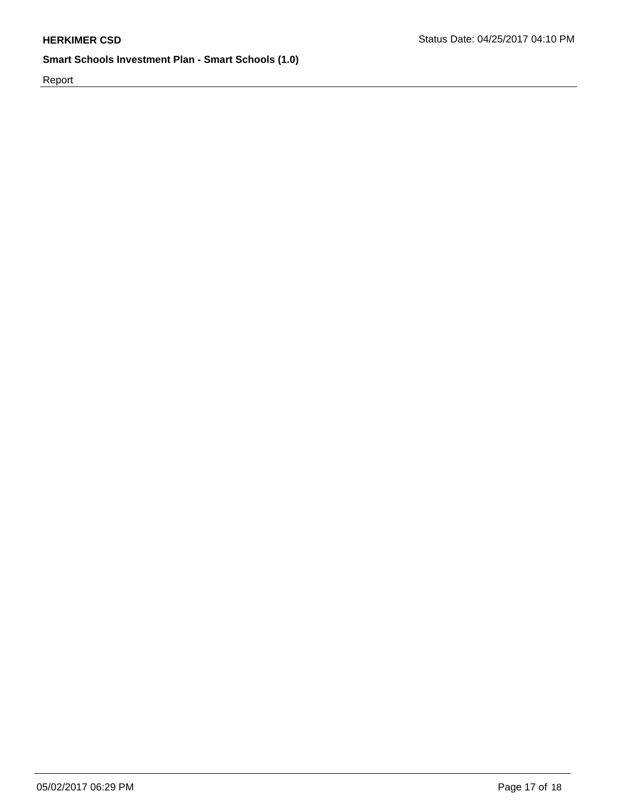Report